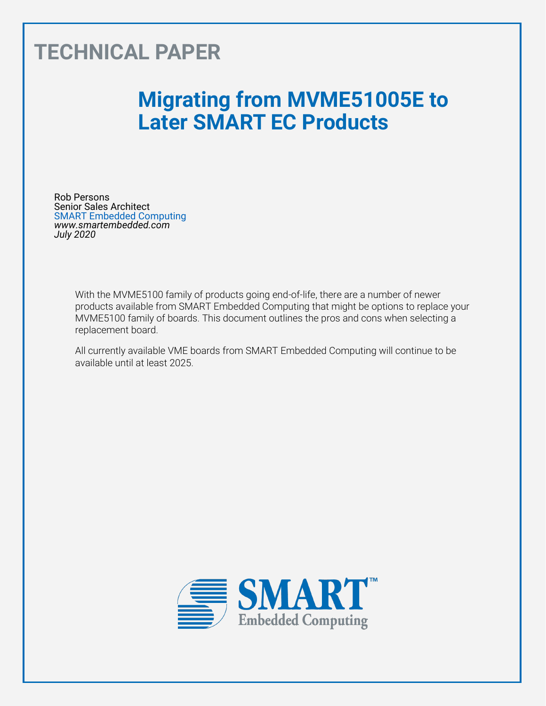# **TECHNICAL PAPER**

# **Migrating from MVME51005E to Later SMART EC Products**

Rob Persons Senior Sales Architect SMART Embedded Computing *www.smartembedded.com July 2020*

> With the MVME5100 family of products going end-of-life, there are a number of newer products available from SMART Embedded Computing that might be options to replace your MVME5100 family of boards. This document outlines the pros and cons when selecting a replacement board.

All currently available VME boards from SMART Embedded Computing will continue to be available until at least 2025.

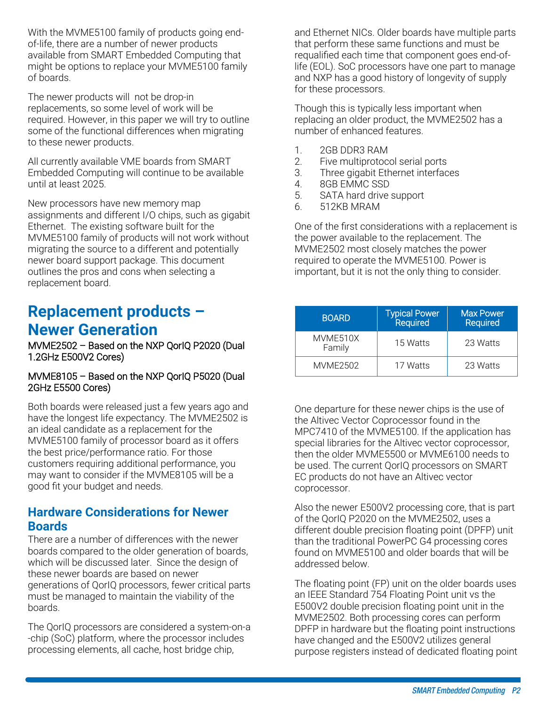With the MVME5100 family of products going endof-life, there are a number of newer products available from SMART Embedded Computing that might be options to replace your MVME5100 family of boards.

The newer products will not be drop-in replacements, so some level of work will be required. However, in this paper we will try to outline some of the functional differences when migrating to these newer products.

All currently available VME boards from SMART Embedded Computing will continue to be available until at least 2025.

New processors have new memory map assignments and different I/O chips, such as gigabit Ethernet. The existing software built for the MVME5100 family of products will not work without migrating the source to a different and potentially newer board support package. This document outlines the pros and cons when selecting a replacement board.

### **Replacement products – Newer Generation**

MVME2502 – Based on the NXP QorIQ P2020 (Dual 1.2GHz E500V2 Cores)

#### MVME8105 – Based on the NXP QorIQ P5020 (Dual 2GHz E5500 Cores)

Both boards were released just a few years ago and have the longest life expectancy. The MVME2502 is an ideal candidate as a replacement for the MVME5100 family of processor board as it offers the best price/performance ratio. For those customers requiring additional performance, you may want to consider if the MVME8105 will be a good fit your budget and needs.

#### **Hardware Considerations for Newer Boards**

There are a number of differences with the newer boards compared to the older generation of boards, which will be discussed later. Since the design of these newer boards are based on newer generations of QorIQ processors, fewer critical parts must be managed to maintain the viability of the boards.

The QorIQ processors are considered a system-on-a -chip (SoC) platform, where the processor includes processing elements, all cache, host bridge chip,

and Ethernet NICs. Older boards have multiple parts that perform these same functions and must be requalified each time that component goes end-oflife (EOL). SoC processors have one part to manage and NXP has a good history of longevity of supply for these processors.

Though this is typically less important when replacing an older product, the MVME2502 has a number of enhanced features.

- 1. 2GB DDR3 RAM<br>2. Five multiprotoc
- Five multiprotocol serial ports
- 3. Three gigabit Ethernet interfaces
- 4. 8GB EMMC SSD
- 5. SATA hard drive support
- 6. 512KB MRAM

One of the first considerations with a replacement is the power available to the replacement. The MVME2502 most closely matches the power required to operate the MVME5100. Power is important, but it is not the only thing to consider.

| <b>BOARD</b>       | <b>Typical Power</b><br>Required | <b>Max Power</b><br>Required |
|--------------------|----------------------------------|------------------------------|
| MVME510X<br>Family | 15 Watts                         | 23 Watts                     |
| MVMF2502           | 17 Watts                         | 23 Watts                     |

One departure for these newer chips is the use of the Altivec Vector Coprocessor found in the MPC7410 of the MVME5100. If the application has special libraries for the Altivec vector coprocessor, then the older MVME5500 or MVME6100 needs to be used. The current QorIQ processors on SMART EC products do not have an Altivec vector coprocessor.

Also the newer E500V2 processing core, that is part of the QorIQ P2020 on the MVME2502, uses a different double precision floating point (DPFP) unit than the traditional PowerPC G4 processing cores found on MVME5100 and older boards that will be addressed below.

The floating point (FP) unit on the older boards uses an IEEE Standard 754 Floating Point unit vs the E500V2 double precision floating point unit in the MVME2502. Both processing cores can perform DPFP in hardware but the floating point instructions have changed and the E500V2 utilizes general purpose registers instead of dedicated floating point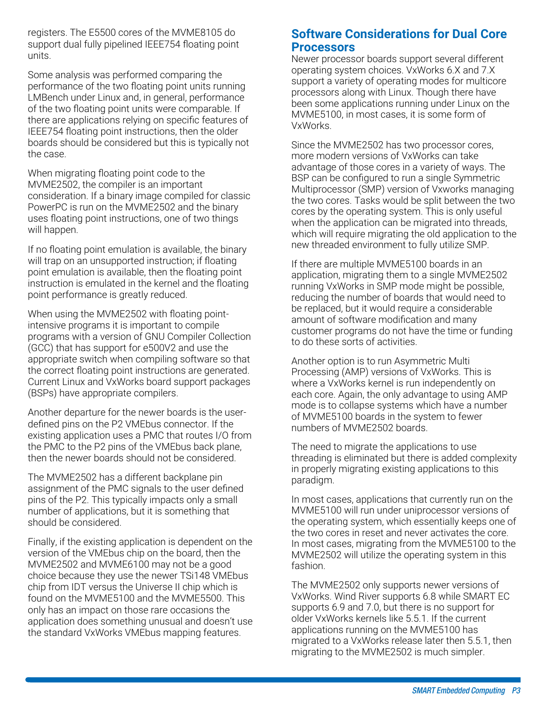registers. The E5500 cores of the MVME8105 do support dual fully pipelined IEEE754 floating point units.

Some analysis was performed comparing the performance of the two floating point units running LMBench under Linux and, in general, performance of the two floating point units were comparable. If there are applications relying on specific features of IEEE754 floating point instructions, then the older boards should be considered but this is typically not the case.

When migrating floating point code to the MVME2502, the compiler is an important consideration. If a binary image compiled for classic PowerPC is run on the MVME2502 and the binary uses floating point instructions, one of two things will happen.

If no floating point emulation is available, the binary will trap on an unsupported instruction; if floating point emulation is available, then the floating point instruction is emulated in the kernel and the floating point performance is greatly reduced.

When using the MVME2502 with floating pointintensive programs it is important to compile programs with a version of GNU Compiler Collection (GCC) that has support for e500V2 and use the appropriate switch when compiling software so that the correct floating point instructions are generated. Current Linux and VxWorks board support packages (BSPs) have appropriate compilers.

Another departure for the newer boards is the userdefined pins on the P2 VMEbus connector. If the existing application uses a PMC that routes I/O from the PMC to the P2 pins of the VMEbus back plane, then the newer boards should not be considered.

The MVME2502 has a different backplane pin assignment of the PMC signals to the user defined pins of the P2. This typically impacts only a small number of applications, but it is something that should be considered.

Finally, if the existing application is dependent on the version of the VMEbus chip on the board, then the MVME2502 and MVME6100 may not be a good choice because they use the newer TSi148 VMEbus chip from IDT versus the Universe II chip which is found on the MVME5100 and the MVME5500. This only has an impact on those rare occasions the application does something unusual and doesn't use the standard VxWorks VMEbus mapping features.

#### **Software Considerations for Dual Core Processors**

Newer processor boards support several different operating system choices. VxWorks 6.X and 7.X support a variety of operating modes for multicore processors along with Linux. Though there have been some applications running under Linux on the MVME5100, in most cases, it is some form of VxWorks.

Since the MVME2502 has two processor cores, more modern versions of VxWorks can take advantage of those cores in a variety of ways. The BSP can be configured to run a single Symmetric Multiprocessor (SMP) version of Vxworks managing the two cores. Tasks would be split between the two cores by the operating system. This is only useful when the application can be migrated into threads, which will require migrating the old application to the new threaded environment to fully utilize SMP.

If there are multiple MVME5100 boards in an application, migrating them to a single MVME2502 running VxWorks in SMP mode might be possible, reducing the number of boards that would need to be replaced, but it would require a considerable amount of software modification and many customer programs do not have the time or funding to do these sorts of activities.

Another option is to run Asymmetric Multi Processing (AMP) versions of VxWorks. This is where a VxWorks kernel is run independently on each core. Again, the only advantage to using AMP mode is to collapse systems which have a number of MVME5100 boards in the system to fewer numbers of MVME2502 boards.

The need to migrate the applications to use threading is eliminated but there is added complexity in properly migrating existing applications to this paradigm.

In most cases, applications that currently run on the MVME5100 will run under uniprocessor versions of the operating system, which essentially keeps one of the two cores in reset and never activates the core. In most cases, migrating from the MVME5100 to the MVME2502 will utilize the operating system in this fashion.

The MVME2502 only supports newer versions of VxWorks. Wind River supports 6.8 while SMART EC supports 6.9 and 7.0, but there is no support for older VxWorks kernels like 5.5.1. If the current applications running on the MVME5100 has migrated to a VxWorks release later then 5.5.1, then migrating to the MVME2502 is much simpler.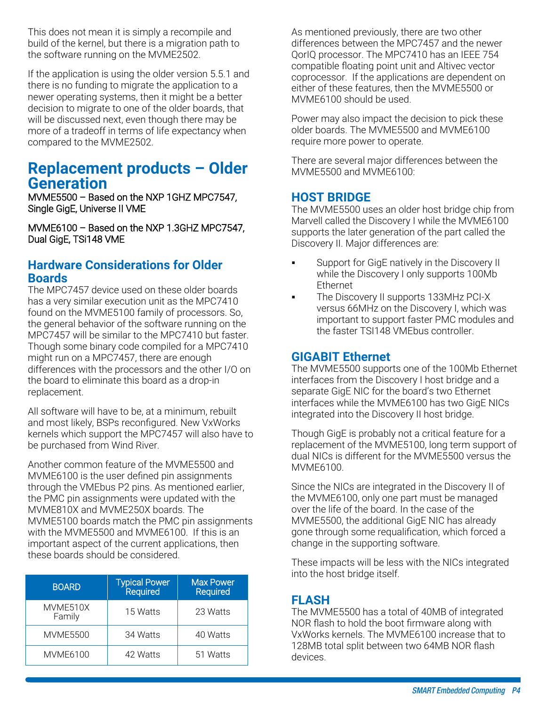This does not mean it is simply a recompile and build of the kernel, but there is a migration path to the software running on the MVME2502.

If the application is using the older version 5.5.1 and there is no funding to migrate the application to a newer operating systems, then it might be a better decision to migrate to one of the older boards, that will be discussed next, even though there may be more of a tradeoff in terms of life expectancy when compared to the MVME2502.

### **Replacement products – Older Generation**

MVME5500 – Based on the NXP 1GHZ MPC7547, Single GigE, Universe II VME

MVME6100 – Based on the NXP 1.3GHZ MPC7547, Dual GigE, TSi148 VME

#### **Hardware Considerations for Older Boards**

The MPC7457 device used on these older boards has a very similar execution unit as the MPC7410 found on the MVME5100 family of processors. So, the general behavior of the software running on the MPC7457 will be similar to the MPC7410 but faster. Though some binary code compiled for a MPC7410 might run on a MPC7457, there are enough differences with the processors and the other I/O on the board to eliminate this board as a drop-in replacement.

All software will have to be, at a minimum, rebuilt and most likely, BSPs reconfigured. New VxWorks kernels which support the MPC7457 will also have to be purchased from Wind River.

Another common feature of the MVME5500 and MVME6100 is the user defined pin assignments through the VMEbus P2 pins. As mentioned earlier, the PMC pin assignments were updated with the MVME810X and MVME250X boards. The MVME5100 boards match the PMC pin assignments with the MVME5500 and MVME6100. If this is an important aspect of the current applications, then these boards should be considered.

| <b>BOARD</b>       | <b>Typical Power</b><br>Required | <b>Max Power</b><br>Required |
|--------------------|----------------------------------|------------------------------|
| MVME510X<br>Family | 15 Watts                         | 23 Watts                     |
| <b>MVME5500</b>    | 34 Watts                         | 40 Watts                     |
| <b>MVME6100</b>    | 42 Watts                         | 51 Watts                     |

As mentioned previously, there are two other differences between the MPC7457 and the newer QorIQ processor. The MPC7410 has an IEEE 754 compatible floating point unit and Altivec vector coprocessor. If the applications are dependent on either of these features, then the MVME5500 or MVME6100 should be used.

Power may also impact the decision to pick these older boards. The MVME5500 and MVME6100 require more power to operate.

There are several major differences between the MVME5500 and MVME6100:

#### **HOST BRIDGE**

The MVME5500 uses an older host bridge chip from Marvell called the Discovery I while the MVME6100 supports the later generation of the part called the Discovery II. Major differences are:

- **EXECT:** Support for GigE natively in the Discovery II while the Discovery I only supports 100Mb Ethernet
- The Discovery II supports 133MHz PCI-X versus 66MHz on the Discovery I, which was important to support faster PMC modules and the faster TSI148 VMEbus controller.

#### **GIGABIT Ethernet**

The MVME5500 supports one of the 100Mb Ethernet interfaces from the Discovery I host bridge and a separate GigE NIC for the board's two Ethernet interfaces while the MVME6100 has two GigE NICs integrated into the Discovery II host bridge.

Though GigE is probably not a critical feature for a replacement of the MVME5100, long term support of dual NICs is different for the MVME5500 versus the MVME6100.

Since the NICs are integrated in the Discovery II of the MVME6100, only one part must be managed over the life of the board. In the case of the MVME5500, the additional GigE NIC has already gone through some requalification, which forced a change in the supporting software.

These impacts will be less with the NICs integrated into the host bridge itself.

#### **FLASH**

The MVME5500 has a total of 40MB of integrated NOR flash to hold the boot firmware along with VxWorks kernels. The MVME6100 increase that to 128MB total split between two 64MB NOR flash devices.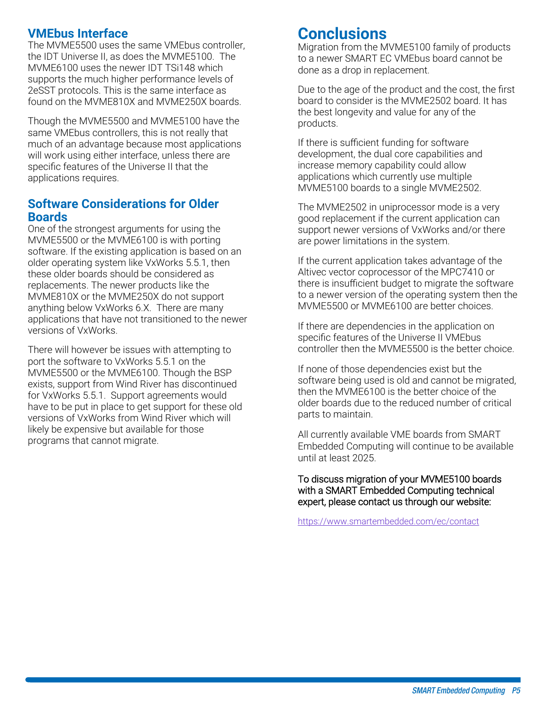#### **VMEbus Interface**

The MVME5500 uses the same VMEbus controller, the IDT Universe II, as does the MVME5100. The MVME6100 uses the newer IDT TSi148 which supports the much higher performance levels of 2eSST protocols. This is the same interface as found on the MVME810X and MVME250X boards.

Though the MVME5500 and MVME5100 have the same VMEbus controllers, this is not really that much of an advantage because most applications will work using either interface, unless there are specific features of the Universe II that the applications requires.

#### **Software Considerations for Older Boards**

One of the strongest arguments for using the MVME5500 or the MVME6100 is with porting software. If the existing application is based on an older operating system like VxWorks 5.5.1, then these older boards should be considered as replacements. The newer products like the MVME810X or the MVME250X do not support anything below VxWorks 6.X. There are many applications that have not transitioned to the newer versions of VxWorks.

There will however be issues with attempting to port the software to VxWorks 5.5.1 on the MVME5500 or the MVME6100. Though the BSP exists, support from Wind River has discontinued for VxWorks 5.5.1. Support agreements would have to be put in place to get support for these old versions of VxWorks from Wind River which will likely be expensive but available for those programs that cannot migrate.

## **Conclusions**

Migration from the MVME5100 family of products to a newer SMART EC VMEbus board cannot be done as a drop in replacement.

Due to the age of the product and the cost, the first board to consider is the MVME2502 board. It has the best longevity and value for any of the products.

If there is sufficient funding for software development, the dual core capabilities and increase memory capability could allow applications which currently use multiple MVME5100 boards to a single MVME2502.

The MVME2502 in uniprocessor mode is a very good replacement if the current application can support newer versions of VxWorks and/or there are power limitations in the system.

If the current application takes advantage of the Altivec vector coprocessor of the MPC7410 or there is insufficient budget to migrate the software to a newer version of the operating system then the MVME5500 or MVME6100 are better choices.

If there are dependencies in the application on specific features of the Universe II VMEbus controller then the MVME5500 is the better choice.

If none of those dependencies exist but the software being used is old and cannot be migrated, then the MVME6100 is the better choice of the older boards due to the reduced number of critical parts to maintain.

All currently available VME boards from SMART Embedded Computing will continue to be available until at least 2025.

To discuss migration of your MVME5100 boards with a SMART Embedded Computing technical expert, please contact us through our website:

<https://www.smartembedded.com/ec/contact>